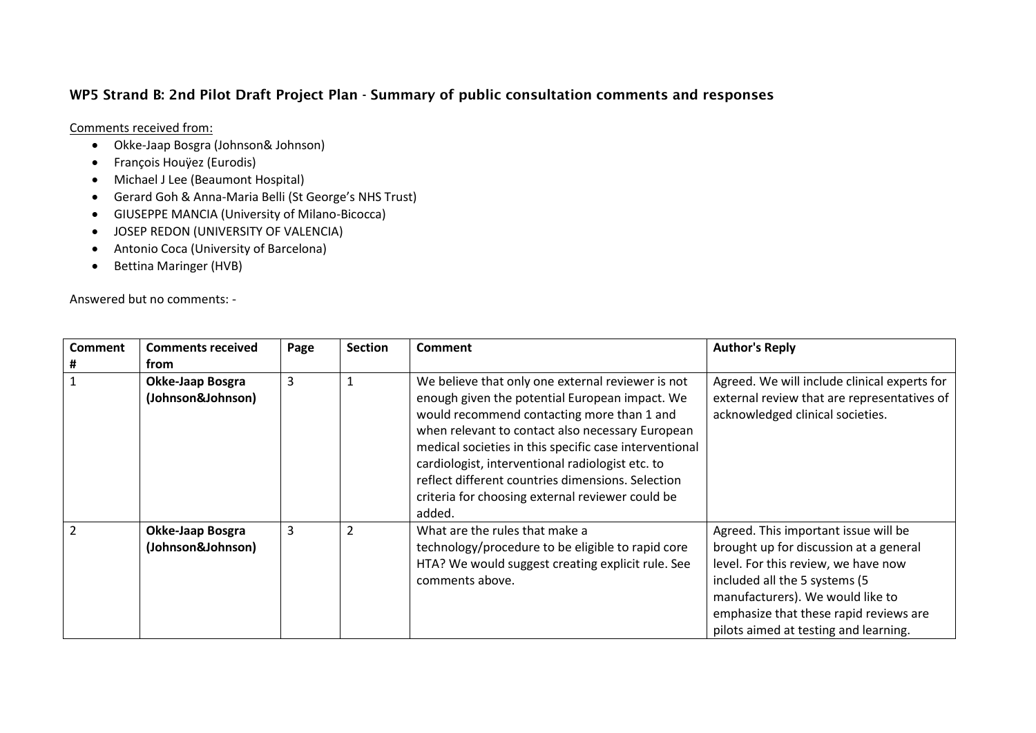## **WP5 Strand B: 2nd Pilot Draft Project Plan - Summary of public consultation comments and responses**

Comments received from:

- Okke-Jaap Bosgra (Johnson& Johnson)
- François Houÿez (Eurodis)
- Michael J Lee (Beaumont Hospital)
- Gerard Goh & Anna-Maria Belli (St George's NHS Trust)
- GIUSEPPE MANCIA (University of Milano-Bicocca)
- **JOSEP REDON (UNIVERSITY OF VALENCIA)**
- Antonio Coca (University of Barcelona)
- Bettina Maringer (HVB)

Answered but no comments: -

| <b>Comment</b><br># | <b>Comments received</b><br>from             | Page | <b>Section</b> | <b>Comment</b>                                                                                                                                                                                                                                                                                                                                                                                                                         | <b>Author's Reply</b>                                                                                                                                                                                                                                                         |
|---------------------|----------------------------------------------|------|----------------|----------------------------------------------------------------------------------------------------------------------------------------------------------------------------------------------------------------------------------------------------------------------------------------------------------------------------------------------------------------------------------------------------------------------------------------|-------------------------------------------------------------------------------------------------------------------------------------------------------------------------------------------------------------------------------------------------------------------------------|
|                     | <b>Okke-Jaap Bosgra</b><br>(Johnson&Johnson) | 3    |                | We believe that only one external reviewer is not<br>enough given the potential European impact. We<br>would recommend contacting more than 1 and<br>when relevant to contact also necessary European<br>medical societies in this specific case interventional<br>cardiologist, interventional radiologist etc. to<br>reflect different countries dimensions. Selection<br>criteria for choosing external reviewer could be<br>added. | Agreed. We will include clinical experts for<br>external review that are representatives of<br>acknowledged clinical societies.                                                                                                                                               |
| $\overline{2}$      | Okke-Jaap Bosgra<br>(Johnson&Johnson)        | 3    | 2              | What are the rules that make a<br>technology/procedure to be eligible to rapid core<br>HTA? We would suggest creating explicit rule. See<br>comments above.                                                                                                                                                                                                                                                                            | Agreed. This important issue will be<br>brought up for discussion at a general<br>level. For this review, we have now<br>included all the 5 systems (5<br>manufacturers). We would like to<br>emphasize that these rapid reviews are<br>pilots aimed at testing and learning. |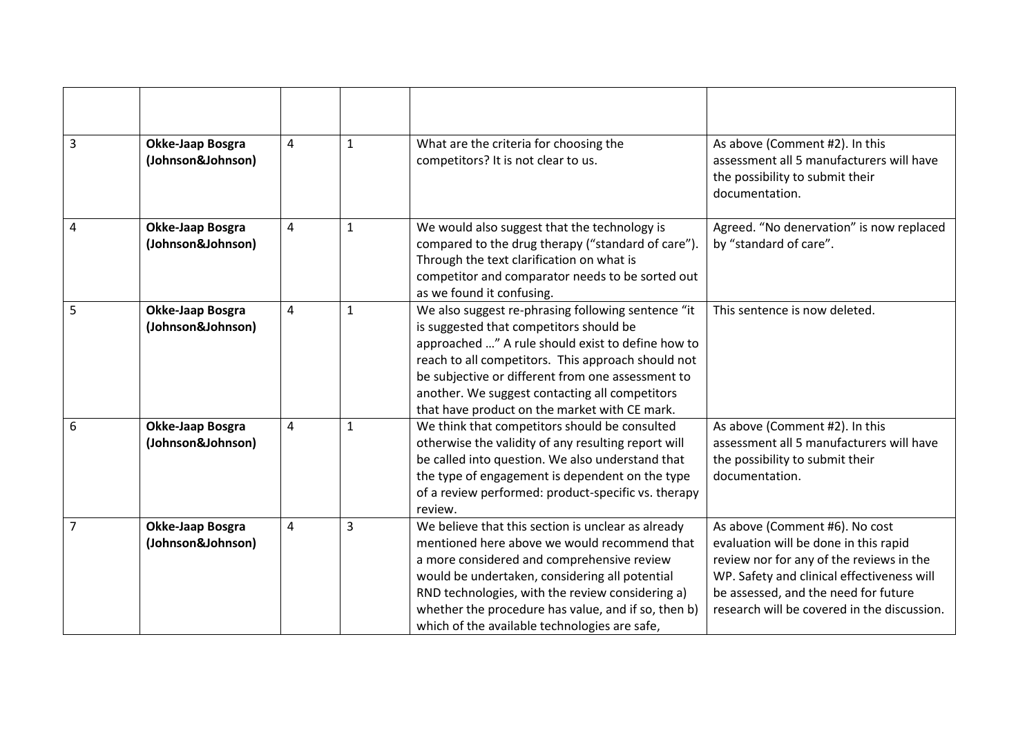| $\overline{3}$ | <b>Okke-Jaap Bosgra</b><br>(Johnson&Johnson) | 4 | $\mathbf{1}$ | What are the criteria for choosing the<br>competitors? It is not clear to us.                                                                                                                                                                                                                                                                                    | As above (Comment #2). In this<br>assessment all 5 manufacturers will have<br>the possibility to submit their<br>documentation.                                                                                                                          |
|----------------|----------------------------------------------|---|--------------|------------------------------------------------------------------------------------------------------------------------------------------------------------------------------------------------------------------------------------------------------------------------------------------------------------------------------------------------------------------|----------------------------------------------------------------------------------------------------------------------------------------------------------------------------------------------------------------------------------------------------------|
| 4              | <b>Okke-Jaap Bosgra</b><br>(Johnson&Johnson) | 4 | 1            | We would also suggest that the technology is<br>compared to the drug therapy ("standard of care").<br>Through the text clarification on what is<br>competitor and comparator needs to be sorted out<br>as we found it confusing.                                                                                                                                 | Agreed. "No denervation" is now replaced<br>by "standard of care".                                                                                                                                                                                       |
| 5              | Okke-Jaap Bosgra<br>(Johnson&Johnson)        | 4 | 1            | We also suggest re-phrasing following sentence "it<br>is suggested that competitors should be<br>approached " A rule should exist to define how to<br>reach to all competitors. This approach should not<br>be subjective or different from one assessment to<br>another. We suggest contacting all competitors<br>that have product on the market with CE mark. | This sentence is now deleted.                                                                                                                                                                                                                            |
| 6              | Okke-Jaap Bosgra<br>(Johnson&Johnson)        | 4 | 1            | We think that competitors should be consulted<br>otherwise the validity of any resulting report will<br>be called into question. We also understand that<br>the type of engagement is dependent on the type<br>of a review performed: product-specific vs. therapy<br>review.                                                                                    | As above (Comment #2). In this<br>assessment all 5 manufacturers will have<br>the possibility to submit their<br>documentation.                                                                                                                          |
| 7              | Okke-Jaap Bosgra<br>(Johnson&Johnson)        | 4 | 3            | We believe that this section is unclear as already<br>mentioned here above we would recommend that<br>a more considered and comprehensive review<br>would be undertaken, considering all potential<br>RND technologies, with the review considering a)<br>whether the procedure has value, and if so, then b)<br>which of the available technologies are safe,   | As above (Comment #6). No cost<br>evaluation will be done in this rapid<br>review nor for any of the reviews in the<br>WP. Safety and clinical effectiveness will<br>be assessed, and the need for future<br>research will be covered in the discussion. |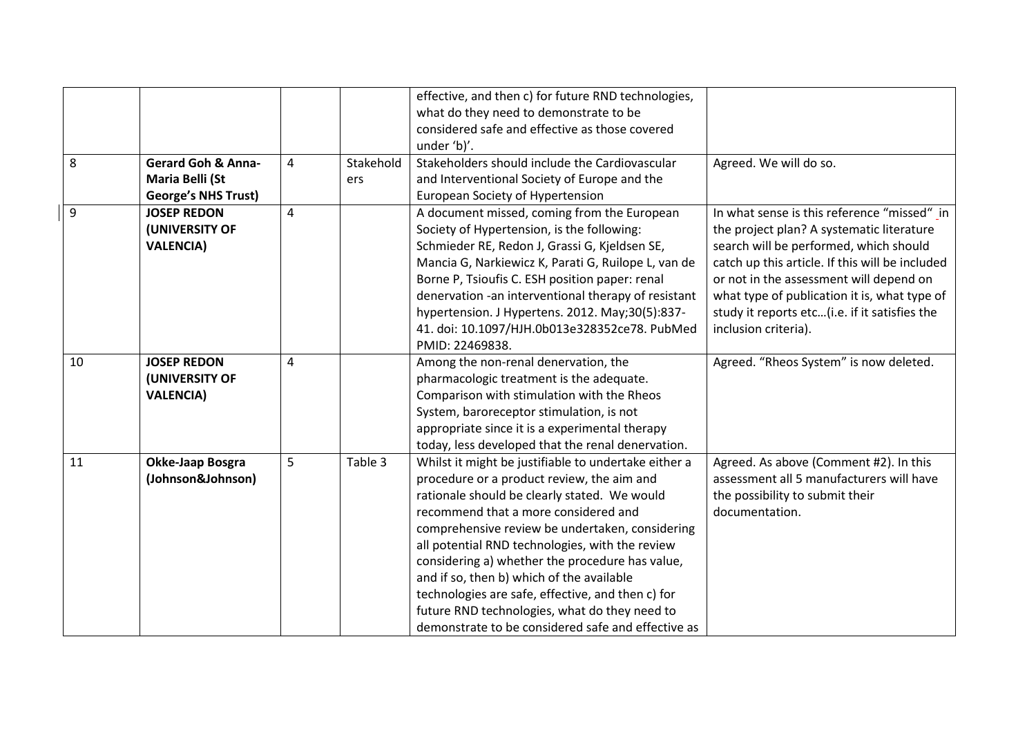|    |                               |   |           | effective, and then c) for future RND technologies,  |                                                 |
|----|-------------------------------|---|-----------|------------------------------------------------------|-------------------------------------------------|
|    |                               |   |           | what do they need to demonstrate to be               |                                                 |
|    |                               |   |           | considered safe and effective as those covered       |                                                 |
|    |                               |   |           | under 'b)'.                                          |                                                 |
| 8  | <b>Gerard Goh &amp; Anna-</b> | 4 | Stakehold | Stakeholders should include the Cardiovascular       | Agreed. We will do so.                          |
|    | Maria Belli (St               |   | ers       | and Interventional Society of Europe and the         |                                                 |
|    | <b>George's NHS Trust)</b>    |   |           | European Society of Hypertension                     |                                                 |
| 9  | <b>JOSEP REDON</b>            | 4 |           | A document missed, coming from the European          | In what sense is this reference "missed" in     |
|    | (UNIVERSITY OF                |   |           | Society of Hypertension, is the following:           | the project plan? A systematic literature       |
|    | <b>VALENCIA)</b>              |   |           | Schmieder RE, Redon J, Grassi G, Kjeldsen SE,        | search will be performed, which should          |
|    |                               |   |           | Mancia G, Narkiewicz K, Parati G, Ruilope L, van de  | catch up this article. If this will be included |
|    |                               |   |           | Borne P, Tsioufis C. ESH position paper: renal       | or not in the assessment will depend on         |
|    |                               |   |           | denervation -an interventional therapy of resistant  | what type of publication it is, what type of    |
|    |                               |   |           | hypertension. J Hypertens. 2012. May;30(5):837-      | study it reports etc(i.e. if it satisfies the   |
|    |                               |   |           | 41. doi: 10.1097/HJH.0b013e328352ce78. PubMed        | inclusion criteria).                            |
|    |                               |   |           | PMID: 22469838.                                      |                                                 |
| 10 | <b>JOSEP REDON</b>            | 4 |           | Among the non-renal denervation, the                 | Agreed. "Rheos System" is now deleted.          |
|    | (UNIVERSITY OF                |   |           | pharmacologic treatment is the adequate.             |                                                 |
|    | <b>VALENCIA)</b>              |   |           | Comparison with stimulation with the Rheos           |                                                 |
|    |                               |   |           | System, baroreceptor stimulation, is not             |                                                 |
|    |                               |   |           | appropriate since it is a experimental therapy       |                                                 |
|    |                               |   |           | today, less developed that the renal denervation.    |                                                 |
| 11 | Okke-Jaap Bosgra              | 5 | Table 3   | Whilst it might be justifiable to undertake either a | Agreed. As above (Comment #2). In this          |
|    | (Johnson&Johnson)             |   |           | procedure or a product review, the aim and           | assessment all 5 manufacturers will have        |
|    |                               |   |           | rationale should be clearly stated. We would         | the possibility to submit their                 |
|    |                               |   |           | recommend that a more considered and                 | documentation.                                  |
|    |                               |   |           | comprehensive review be undertaken, considering      |                                                 |
|    |                               |   |           | all potential RND technologies, with the review      |                                                 |
|    |                               |   |           | considering a) whether the procedure has value,      |                                                 |
|    |                               |   |           | and if so, then b) which of the available            |                                                 |
|    |                               |   |           | technologies are safe, effective, and then c) for    |                                                 |
|    |                               |   |           | future RND technologies, what do they need to        |                                                 |
|    |                               |   |           | demonstrate to be considered safe and effective as   |                                                 |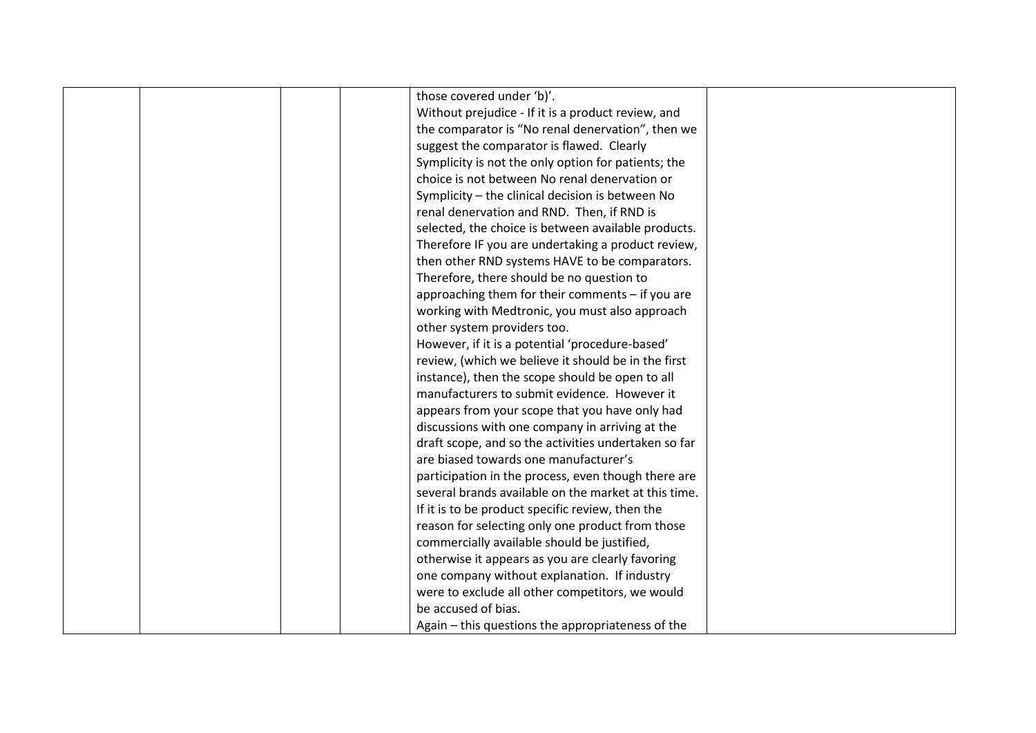|  | those covered under 'b)'.                            |  |
|--|------------------------------------------------------|--|
|  | Without prejudice - If it is a product review, and   |  |
|  | the comparator is "No renal denervation", then we    |  |
|  | suggest the comparator is flawed. Clearly            |  |
|  | Symplicity is not the only option for patients; the  |  |
|  | choice is not between No renal denervation or        |  |
|  | Symplicity - the clinical decision is between No     |  |
|  | renal denervation and RND. Then, if RND is           |  |
|  | selected, the choice is between available products.  |  |
|  | Therefore IF you are undertaking a product review,   |  |
|  | then other RND systems HAVE to be comparators.       |  |
|  | Therefore, there should be no question to            |  |
|  | approaching them for their comments - if you are     |  |
|  | working with Medtronic, you must also approach       |  |
|  | other system providers too.                          |  |
|  | However, if it is a potential 'procedure-based'      |  |
|  | review, (which we believe it should be in the first  |  |
|  | instance), then the scope should be open to all      |  |
|  | manufacturers to submit evidence. However it         |  |
|  | appears from your scope that you have only had       |  |
|  | discussions with one company in arriving at the      |  |
|  | draft scope, and so the activities undertaken so far |  |
|  | are biased towards one manufacturer's                |  |
|  | participation in the process, even though there are  |  |
|  | several brands available on the market at this time. |  |
|  | If it is to be product specific review, then the     |  |
|  | reason for selecting only one product from those     |  |
|  | commercially available should be justified,          |  |
|  | otherwise it appears as you are clearly favoring     |  |
|  | one company without explanation. If industry         |  |
|  | were to exclude all other competitors, we would      |  |
|  | be accused of bias.                                  |  |
|  | Again – this questions the appropriateness of the    |  |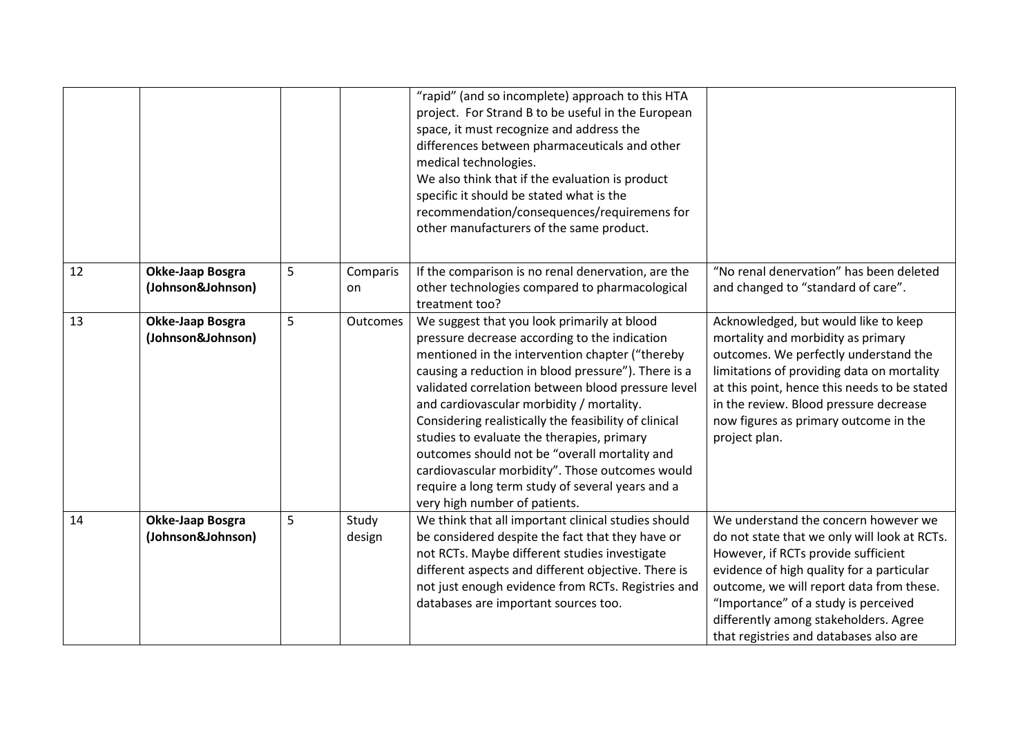|    |                                       |   |                 | "rapid" (and so incomplete) approach to this HTA<br>project. For Strand B to be useful in the European<br>space, it must recognize and address the<br>differences between pharmaceuticals and other<br>medical technologies.<br>We also think that if the evaluation is product<br>specific it should be stated what is the<br>recommendation/consequences/requiremens for<br>other manufacturers of the same product.                                                                                                                                                                                    |                                                                                                                                                                                                                                                                                                                                                 |
|----|---------------------------------------|---|-----------------|-----------------------------------------------------------------------------------------------------------------------------------------------------------------------------------------------------------------------------------------------------------------------------------------------------------------------------------------------------------------------------------------------------------------------------------------------------------------------------------------------------------------------------------------------------------------------------------------------------------|-------------------------------------------------------------------------------------------------------------------------------------------------------------------------------------------------------------------------------------------------------------------------------------------------------------------------------------------------|
| 12 | Okke-Jaap Bosgra<br>(Johnson&Johnson) | 5 | Comparis<br>on  | If the comparison is no renal denervation, are the<br>other technologies compared to pharmacological<br>treatment too?                                                                                                                                                                                                                                                                                                                                                                                                                                                                                    | "No renal denervation" has been deleted<br>and changed to "standard of care".                                                                                                                                                                                                                                                                   |
| 13 | Okke-Jaap Bosgra<br>(Johnson&Johnson) | 5 | <b>Outcomes</b> | We suggest that you look primarily at blood<br>pressure decrease according to the indication<br>mentioned in the intervention chapter ("thereby<br>causing a reduction in blood pressure"). There is a<br>validated correlation between blood pressure level<br>and cardiovascular morbidity / mortality.<br>Considering realistically the feasibility of clinical<br>studies to evaluate the therapies, primary<br>outcomes should not be "overall mortality and<br>cardiovascular morbidity". Those outcomes would<br>require a long term study of several years and a<br>very high number of patients. | Acknowledged, but would like to keep<br>mortality and morbidity as primary<br>outcomes. We perfectly understand the<br>limitations of providing data on mortality<br>at this point, hence this needs to be stated<br>in the review. Blood pressure decrease<br>now figures as primary outcome in the<br>project plan.                           |
| 14 | Okke-Jaap Bosgra<br>(Johnson&Johnson) | 5 | Study<br>design | We think that all important clinical studies should<br>be considered despite the fact that they have or<br>not RCTs. Maybe different studies investigate<br>different aspects and different objective. There is<br>not just enough evidence from RCTs. Registries and<br>databases are important sources too.                                                                                                                                                                                                                                                                                             | We understand the concern however we<br>do not state that we only will look at RCTs.<br>However, if RCTs provide sufficient<br>evidence of high quality for a particular<br>outcome, we will report data from these.<br>"Importance" of a study is perceived<br>differently among stakeholders. Agree<br>that registries and databases also are |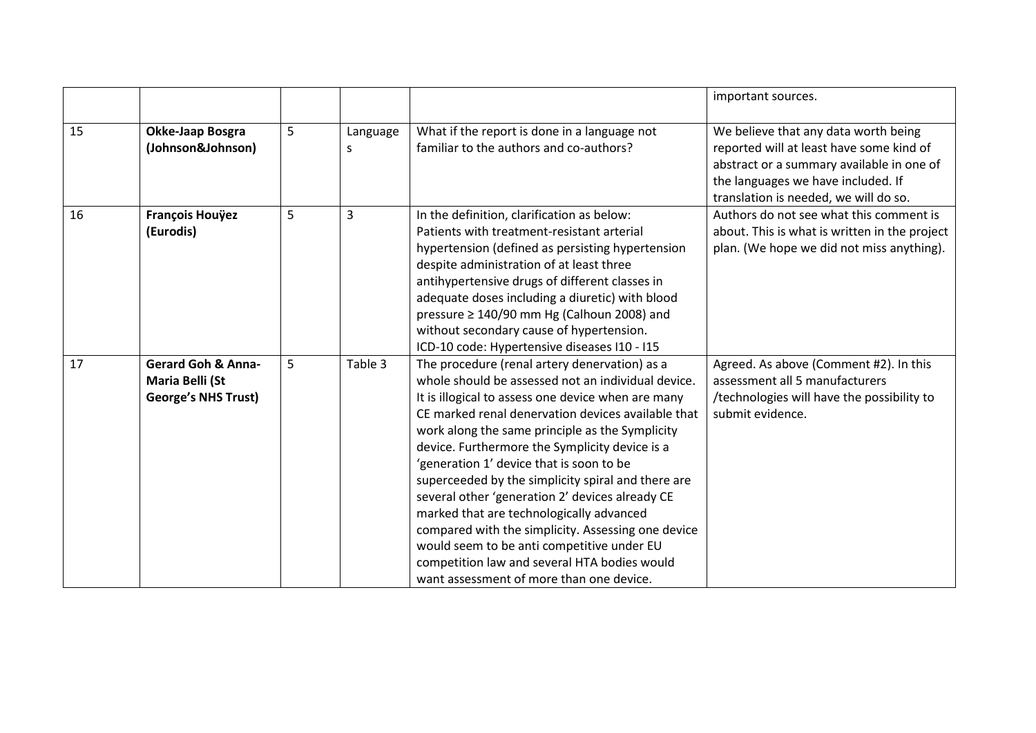|    |                                                                                |   |               |                                                                                                                                                                                                                                                                                                                                                                                                                                                                                                                                                                                                                                                                                                                       | important sources.                                                                                                                                                                                           |
|----|--------------------------------------------------------------------------------|---|---------------|-----------------------------------------------------------------------------------------------------------------------------------------------------------------------------------------------------------------------------------------------------------------------------------------------------------------------------------------------------------------------------------------------------------------------------------------------------------------------------------------------------------------------------------------------------------------------------------------------------------------------------------------------------------------------------------------------------------------------|--------------------------------------------------------------------------------------------------------------------------------------------------------------------------------------------------------------|
| 15 | Okke-Jaap Bosgra<br>(Johnson&Johnson)                                          | 5 | Language<br>S | What if the report is done in a language not<br>familiar to the authors and co-authors?                                                                                                                                                                                                                                                                                                                                                                                                                                                                                                                                                                                                                               | We believe that any data worth being<br>reported will at least have some kind of<br>abstract or a summary available in one of<br>the languages we have included. If<br>translation is needed, we will do so. |
| 16 | <b>François Houÿez</b><br>(Eurodis)                                            | 5 | 3             | In the definition, clarification as below:<br>Patients with treatment-resistant arterial<br>hypertension (defined as persisting hypertension<br>despite administration of at least three<br>antihypertensive drugs of different classes in<br>adequate doses including a diuretic) with blood<br>pressure ≥ 140/90 mm Hg (Calhoun 2008) and<br>without secondary cause of hypertension.<br>ICD-10 code: Hypertensive diseases I10 - I15                                                                                                                                                                                                                                                                               | Authors do not see what this comment is<br>about. This is what is written in the project<br>plan. (We hope we did not miss anything).                                                                        |
| 17 | <b>Gerard Goh &amp; Anna-</b><br>Maria Belli (St<br><b>George's NHS Trust)</b> | 5 | Table 3       | The procedure (renal artery denervation) as a<br>whole should be assessed not an individual device.<br>It is illogical to assess one device when are many<br>CE marked renal denervation devices available that<br>work along the same principle as the Symplicity<br>device. Furthermore the Symplicity device is a<br>'generation 1' device that is soon to be<br>superceeded by the simplicity spiral and there are<br>several other 'generation 2' devices already CE<br>marked that are technologically advanced<br>compared with the simplicity. Assessing one device<br>would seem to be anti competitive under EU<br>competition law and several HTA bodies would<br>want assessment of more than one device. | Agreed. As above (Comment #2). In this<br>assessment all 5 manufacturers<br>/technologies will have the possibility to<br>submit evidence.                                                                   |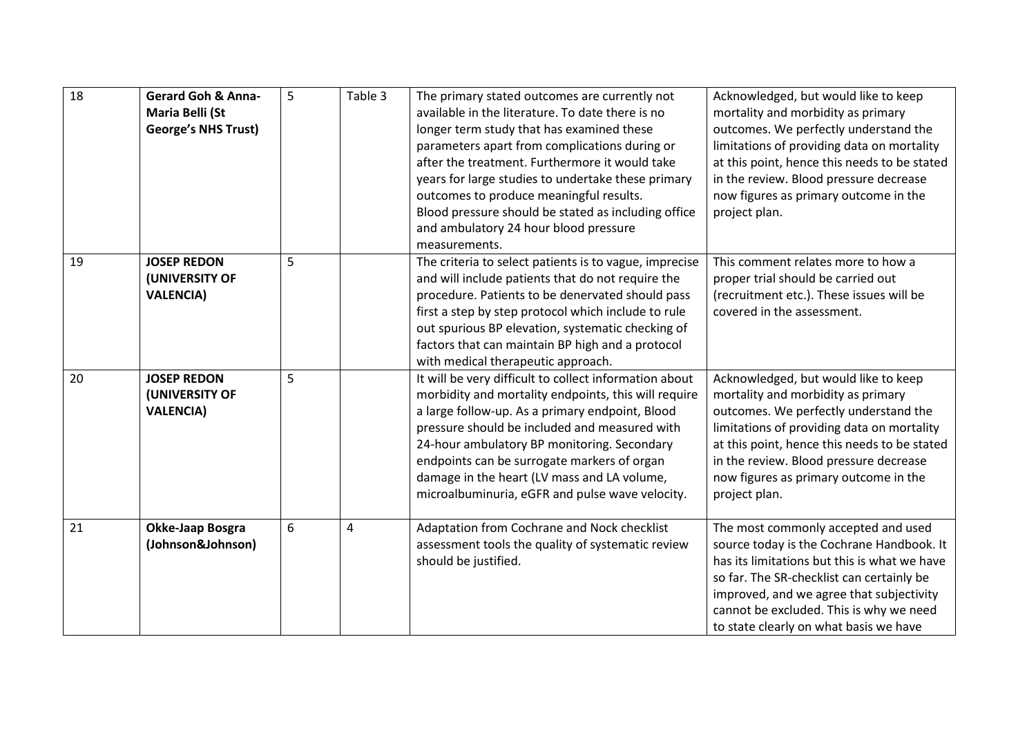| 18 | <b>Gerard Goh &amp; Anna-</b><br>Maria Belli (St<br><b>George's NHS Trust)</b> | 5 | Table 3 | The primary stated outcomes are currently not<br>available in the literature. To date there is no<br>longer term study that has examined these<br>parameters apart from complications during or<br>after the treatment. Furthermore it would take<br>years for large studies to undertake these primary<br>outcomes to produce meaningful results.<br>Blood pressure should be stated as including office<br>and ambulatory 24 hour blood pressure<br>measurements. | Acknowledged, but would like to keep<br>mortality and morbidity as primary<br>outcomes. We perfectly understand the<br>limitations of providing data on mortality<br>at this point, hence this needs to be stated<br>in the review. Blood pressure decrease<br>now figures as primary outcome in the<br>project plan. |
|----|--------------------------------------------------------------------------------|---|---------|---------------------------------------------------------------------------------------------------------------------------------------------------------------------------------------------------------------------------------------------------------------------------------------------------------------------------------------------------------------------------------------------------------------------------------------------------------------------|-----------------------------------------------------------------------------------------------------------------------------------------------------------------------------------------------------------------------------------------------------------------------------------------------------------------------|
| 19 | <b>JOSEP REDON</b><br>(UNIVERSITY OF<br><b>VALENCIA)</b>                       | 5 |         | The criteria to select patients is to vague, imprecise<br>and will include patients that do not require the<br>procedure. Patients to be denervated should pass<br>first a step by step protocol which include to rule<br>out spurious BP elevation, systematic checking of<br>factors that can maintain BP high and a protocol<br>with medical therapeutic approach.                                                                                               | This comment relates more to how a<br>proper trial should be carried out<br>(recruitment etc.). These issues will be<br>covered in the assessment.                                                                                                                                                                    |
| 20 | <b>JOSEP REDON</b><br>(UNIVERSITY OF<br><b>VALENCIA)</b>                       | 5 |         | It will be very difficult to collect information about<br>morbidity and mortality endpoints, this will require<br>a large follow-up. As a primary endpoint, Blood<br>pressure should be included and measured with<br>24-hour ambulatory BP monitoring. Secondary<br>endpoints can be surrogate markers of organ<br>damage in the heart (LV mass and LA volume,<br>microalbuminuria, eGFR and pulse wave velocity.                                                  | Acknowledged, but would like to keep<br>mortality and morbidity as primary<br>outcomes. We perfectly understand the<br>limitations of providing data on mortality<br>at this point, hence this needs to be stated<br>in the review. Blood pressure decrease<br>now figures as primary outcome in the<br>project plan. |
| 21 | Okke-Jaap Bosgra<br>(Johnson&Johnson)                                          | 6 | 4       | Adaptation from Cochrane and Nock checklist<br>assessment tools the quality of systematic review<br>should be justified.                                                                                                                                                                                                                                                                                                                                            | The most commonly accepted and used<br>source today is the Cochrane Handbook. It<br>has its limitations but this is what we have<br>so far. The SR-checklist can certainly be<br>improved, and we agree that subjectivity<br>cannot be excluded. This is why we need<br>to state clearly on what basis we have        |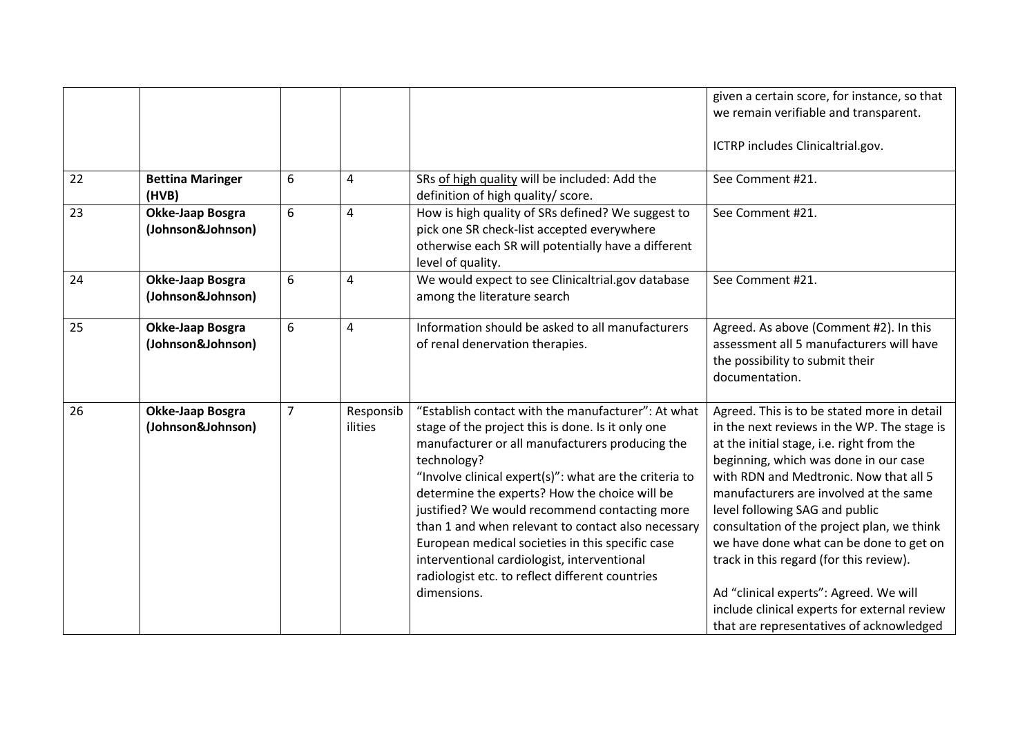|    |                                       |                |                      |                                                                                                                                                                                                                                                                                                                                                                                                                                                                                                                                                                  | given a certain score, for instance, so that<br>we remain verifiable and transparent.<br>ICTRP includes Clinicaltrial.gov.                                                                                                                                                                                                                                                                                                                                                                                                                                                       |
|----|---------------------------------------|----------------|----------------------|------------------------------------------------------------------------------------------------------------------------------------------------------------------------------------------------------------------------------------------------------------------------------------------------------------------------------------------------------------------------------------------------------------------------------------------------------------------------------------------------------------------------------------------------------------------|----------------------------------------------------------------------------------------------------------------------------------------------------------------------------------------------------------------------------------------------------------------------------------------------------------------------------------------------------------------------------------------------------------------------------------------------------------------------------------------------------------------------------------------------------------------------------------|
| 22 | <b>Bettina Maringer</b><br>(HVB)      | 6              | 4                    | SRs of high quality will be included: Add the<br>definition of high quality/ score.                                                                                                                                                                                                                                                                                                                                                                                                                                                                              | See Comment #21.                                                                                                                                                                                                                                                                                                                                                                                                                                                                                                                                                                 |
| 23 | Okke-Jaap Bosgra<br>(Johnson&Johnson) | 6              | 4                    | How is high quality of SRs defined? We suggest to<br>pick one SR check-list accepted everywhere<br>otherwise each SR will potentially have a different<br>level of quality.                                                                                                                                                                                                                                                                                                                                                                                      | See Comment #21.                                                                                                                                                                                                                                                                                                                                                                                                                                                                                                                                                                 |
| 24 | Okke-Jaap Bosgra<br>(Johnson&Johnson) | 6              | 4                    | We would expect to see Clinicaltrial.gov database<br>among the literature search                                                                                                                                                                                                                                                                                                                                                                                                                                                                                 | See Comment #21.                                                                                                                                                                                                                                                                                                                                                                                                                                                                                                                                                                 |
| 25 | Okke-Jaap Bosgra<br>(Johnson&Johnson) | 6              | 4                    | Information should be asked to all manufacturers<br>of renal denervation therapies.                                                                                                                                                                                                                                                                                                                                                                                                                                                                              | Agreed. As above (Comment #2). In this<br>assessment all 5 manufacturers will have<br>the possibility to submit their<br>documentation.                                                                                                                                                                                                                                                                                                                                                                                                                                          |
| 26 | Okke-Jaap Bosgra<br>(Johnson&Johnson) | $\overline{7}$ | Responsib<br>ilities | "Establish contact with the manufacturer": At what<br>stage of the project this is done. Is it only one<br>manufacturer or all manufacturers producing the<br>technology?<br>"Involve clinical expert(s)": what are the criteria to<br>determine the experts? How the choice will be<br>justified? We would recommend contacting more<br>than 1 and when relevant to contact also necessary<br>European medical societies in this specific case<br>interventional cardiologist, interventional<br>radiologist etc. to reflect different countries<br>dimensions. | Agreed. This is to be stated more in detail<br>in the next reviews in the WP. The stage is<br>at the initial stage, i.e. right from the<br>beginning, which was done in our case<br>with RDN and Medtronic. Now that all 5<br>manufacturers are involved at the same<br>level following SAG and public<br>consultation of the project plan, we think<br>we have done what can be done to get on<br>track in this regard (for this review).<br>Ad "clinical experts": Agreed. We will<br>include clinical experts for external review<br>that are representatives of acknowledged |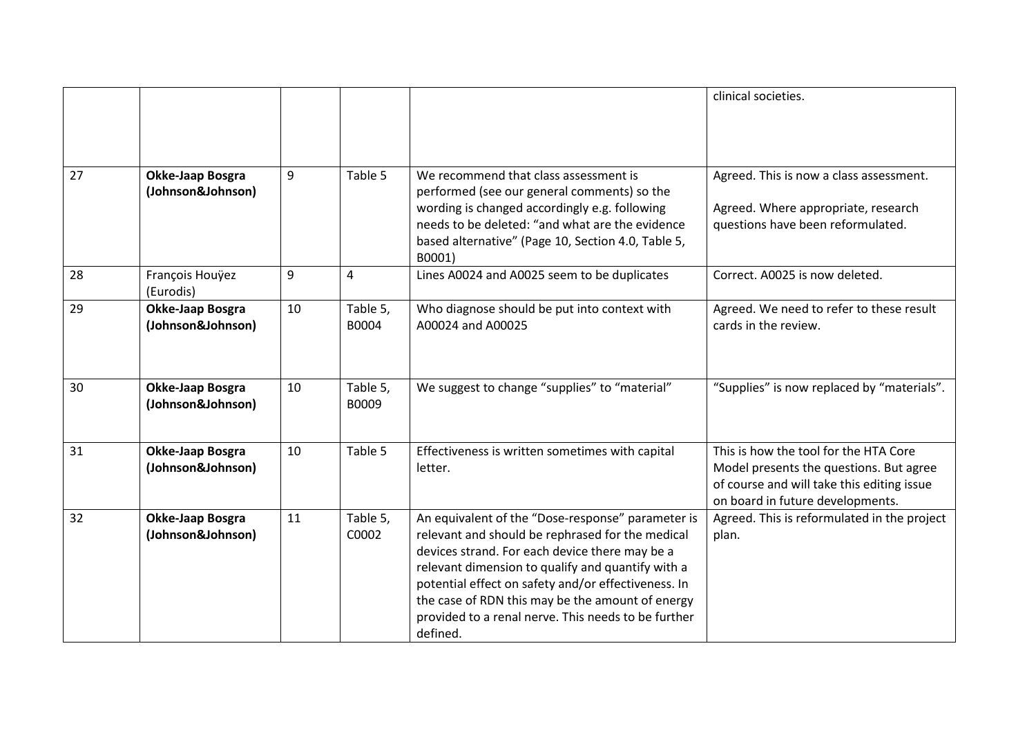|    |                                       |    |                   |                                                                                                                                                                                                                                                                                                                                                                                            | clinical societies.                                                                                                                                                |
|----|---------------------------------------|----|-------------------|--------------------------------------------------------------------------------------------------------------------------------------------------------------------------------------------------------------------------------------------------------------------------------------------------------------------------------------------------------------------------------------------|--------------------------------------------------------------------------------------------------------------------------------------------------------------------|
| 27 | Okke-Jaap Bosgra<br>(Johnson&Johnson) | 9  | Table 5           | We recommend that class assessment is<br>performed (see our general comments) so the<br>wording is changed accordingly e.g. following<br>needs to be deleted: "and what are the evidence<br>based alternative" (Page 10, Section 4.0, Table 5,                                                                                                                                             | Agreed. This is now a class assessment.<br>Agreed. Where appropriate, research<br>questions have been reformulated.                                                |
| 28 | François Houÿez<br>(Eurodis)          | 9  | 4                 | B0001)<br>Lines A0024 and A0025 seem to be duplicates                                                                                                                                                                                                                                                                                                                                      | Correct. A0025 is now deleted.                                                                                                                                     |
| 29 | Okke-Jaap Bosgra<br>(Johnson&Johnson) | 10 | Table 5,<br>B0004 | Who diagnose should be put into context with<br>A00024 and A00025                                                                                                                                                                                                                                                                                                                          | Agreed. We need to refer to these result<br>cards in the review.                                                                                                   |
| 30 | Okke-Jaap Bosgra<br>(Johnson&Johnson) | 10 | Table 5,<br>B0009 | We suggest to change "supplies" to "material"                                                                                                                                                                                                                                                                                                                                              | "Supplies" is now replaced by "materials".                                                                                                                         |
| 31 | Okke-Jaap Bosgra<br>(Johnson&Johnson) | 10 | Table 5           | Effectiveness is written sometimes with capital<br>letter.                                                                                                                                                                                                                                                                                                                                 | This is how the tool for the HTA Core<br>Model presents the questions. But agree<br>of course and will take this editing issue<br>on board in future developments. |
| 32 | Okke-Jaap Bosgra<br>(Johnson&Johnson) | 11 | Table 5,<br>C0002 | An equivalent of the "Dose-response" parameter is<br>relevant and should be rephrased for the medical<br>devices strand. For each device there may be a<br>relevant dimension to qualify and quantify with a<br>potential effect on safety and/or effectiveness. In<br>the case of RDN this may be the amount of energy<br>provided to a renal nerve. This needs to be further<br>defined. | Agreed. This is reformulated in the project<br>plan.                                                                                                               |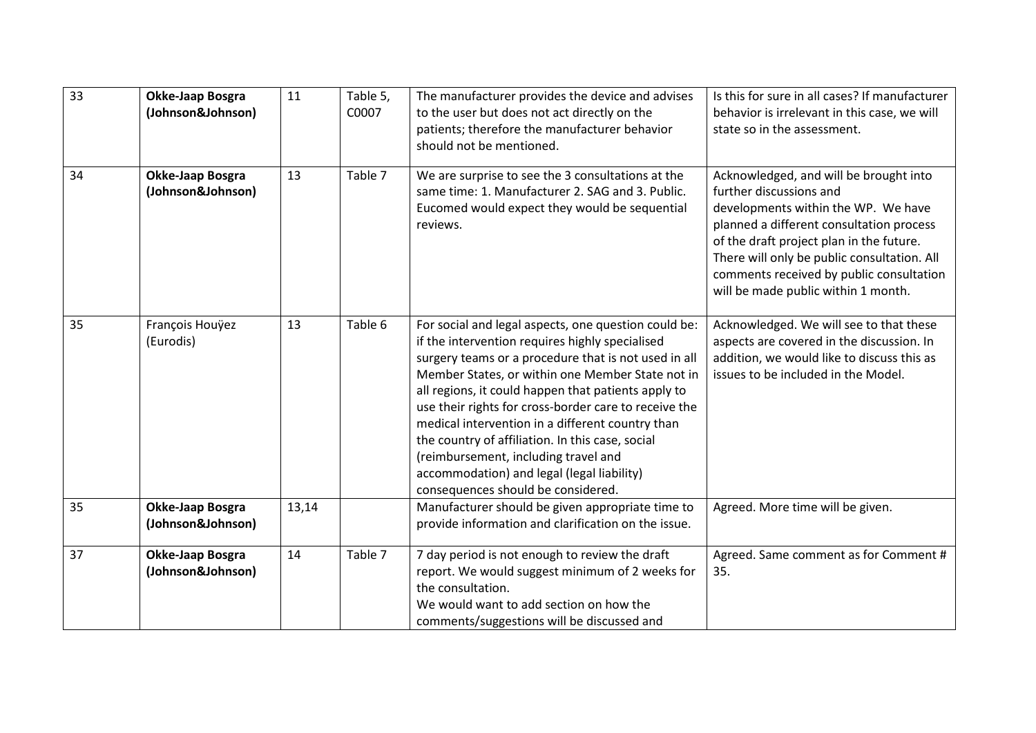| 33 | Okke-Jaap Bosgra<br>(Johnson&Johnson) | 11    | Table 5,<br>C0007 | The manufacturer provides the device and advises<br>to the user but does not act directly on the<br>patients; therefore the manufacturer behavior<br>should not be mentioned.                                                                                                                                                                                                                                                                                                                                                                                           | Is this for sure in all cases? If manufacturer<br>behavior is irrelevant in this case, we will<br>state so in the assessment.                                                                                                                                                                                                      |
|----|---------------------------------------|-------|-------------------|-------------------------------------------------------------------------------------------------------------------------------------------------------------------------------------------------------------------------------------------------------------------------------------------------------------------------------------------------------------------------------------------------------------------------------------------------------------------------------------------------------------------------------------------------------------------------|------------------------------------------------------------------------------------------------------------------------------------------------------------------------------------------------------------------------------------------------------------------------------------------------------------------------------------|
| 34 | Okke-Jaap Bosgra<br>(Johnson&Johnson) | 13    | Table 7           | We are surprise to see the 3 consultations at the<br>same time: 1. Manufacturer 2. SAG and 3. Public.<br>Eucomed would expect they would be sequential<br>reviews.                                                                                                                                                                                                                                                                                                                                                                                                      | Acknowledged, and will be brought into<br>further discussions and<br>developments within the WP. We have<br>planned a different consultation process<br>of the draft project plan in the future.<br>There will only be public consultation. All<br>comments received by public consultation<br>will be made public within 1 month. |
| 35 | François Houÿez<br>(Eurodis)          | 13    | Table 6           | For social and legal aspects, one question could be:<br>if the intervention requires highly specialised<br>surgery teams or a procedure that is not used in all<br>Member States, or within one Member State not in<br>all regions, it could happen that patients apply to<br>use their rights for cross-border care to receive the<br>medical intervention in a different country than<br>the country of affiliation. In this case, social<br>(reimbursement, including travel and<br>accommodation) and legal (legal liability)<br>consequences should be considered. | Acknowledged. We will see to that these<br>aspects are covered in the discussion. In<br>addition, we would like to discuss this as<br>issues to be included in the Model.                                                                                                                                                          |
| 35 | Okke-Jaap Bosgra<br>(Johnson&Johnson) | 13,14 |                   | Manufacturer should be given appropriate time to<br>provide information and clarification on the issue.                                                                                                                                                                                                                                                                                                                                                                                                                                                                 | Agreed. More time will be given.                                                                                                                                                                                                                                                                                                   |
| 37 | Okke-Jaap Bosgra<br>(Johnson&Johnson) | 14    | Table 7           | 7 day period is not enough to review the draft<br>report. We would suggest minimum of 2 weeks for<br>the consultation.<br>We would want to add section on how the<br>comments/suggestions will be discussed and                                                                                                                                                                                                                                                                                                                                                         | Agreed. Same comment as for Comment #<br>35.                                                                                                                                                                                                                                                                                       |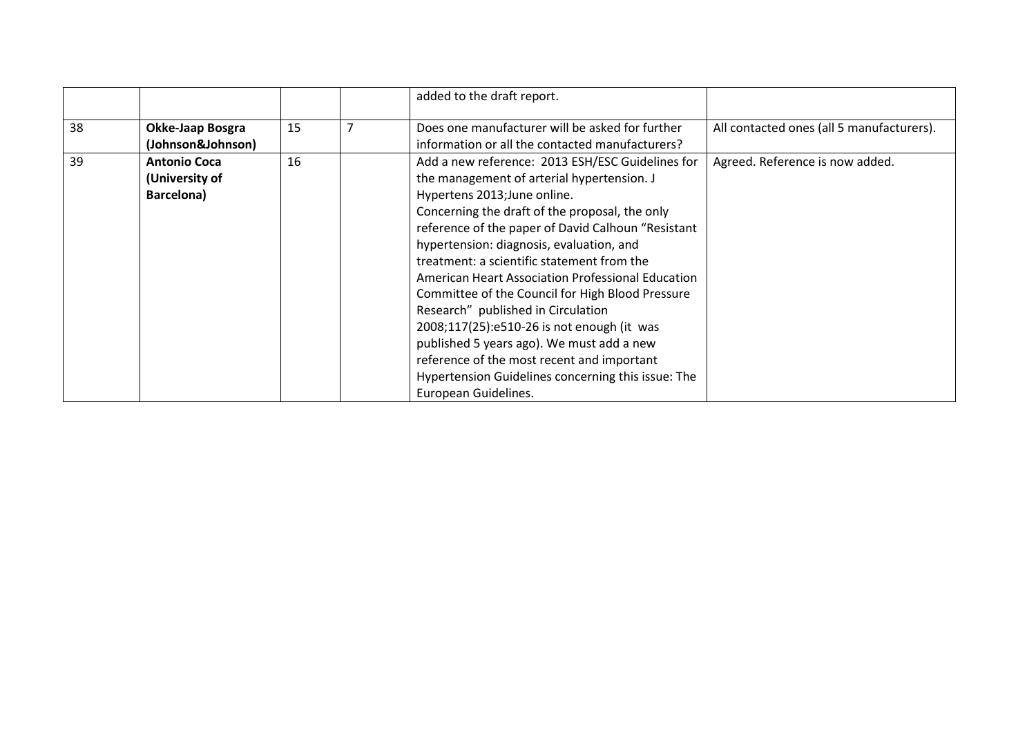|    |                                                     |    | added to the draft report.                                                                                                                                                                                                                                                                                                                                                                                                                                                                                                                                                                                                                                                                             |                                           |
|----|-----------------------------------------------------|----|--------------------------------------------------------------------------------------------------------------------------------------------------------------------------------------------------------------------------------------------------------------------------------------------------------------------------------------------------------------------------------------------------------------------------------------------------------------------------------------------------------------------------------------------------------------------------------------------------------------------------------------------------------------------------------------------------------|-------------------------------------------|
| 38 | Okke-Jaap Bosgra<br>(Johnson&Johnson)               | 15 | Does one manufacturer will be asked for further<br>information or all the contacted manufacturers?                                                                                                                                                                                                                                                                                                                                                                                                                                                                                                                                                                                                     | All contacted ones (all 5 manufacturers). |
| 39 | <b>Antonio Coca</b><br>(University of<br>Barcelona) | 16 | Add a new reference: 2013 ESH/ESC Guidelines for<br>the management of arterial hypertension. J<br>Hypertens 2013; June online.<br>Concerning the draft of the proposal, the only<br>reference of the paper of David Calhoun "Resistant<br>hypertension: diagnosis, evaluation, and<br>treatment: a scientific statement from the<br>American Heart Association Professional Education<br>Committee of the Council for High Blood Pressure<br>Research" published in Circulation<br>2008;117(25):e510-26 is not enough (it was<br>published 5 years ago). We must add a new<br>reference of the most recent and important<br>Hypertension Guidelines concerning this issue: The<br>European Guidelines. | Agreed. Reference is now added.           |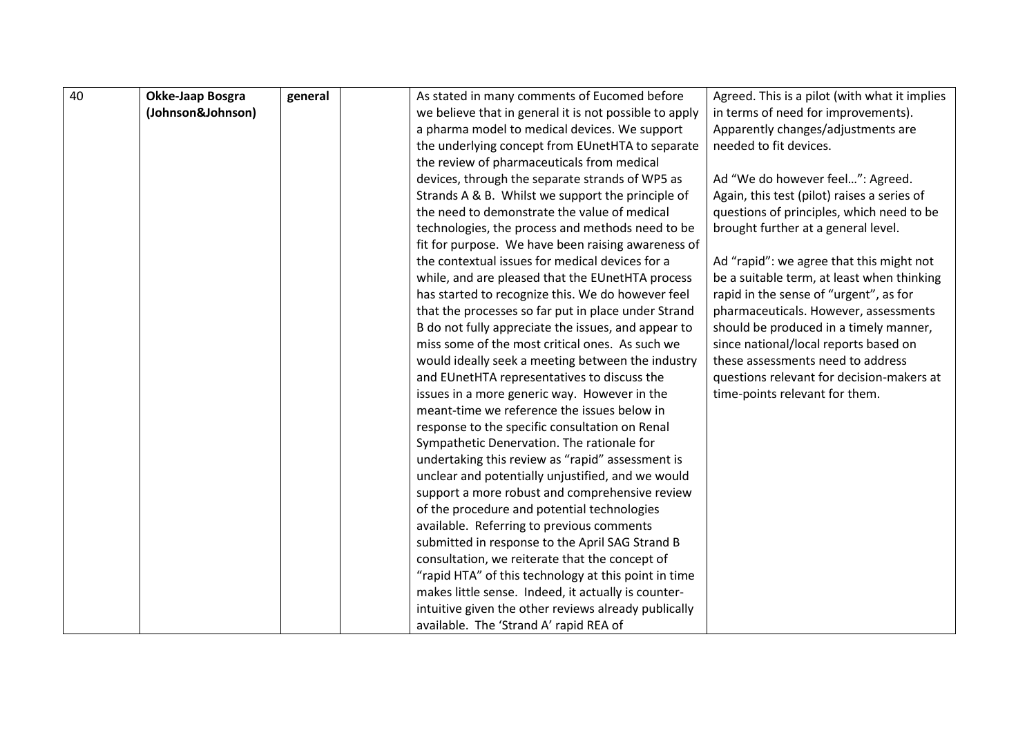| 40 | Okke-Jaap Bosgra  | general | As stated in many comments of Eucomed before           | Agreed. This is a pilot (with what it implies |
|----|-------------------|---------|--------------------------------------------------------|-----------------------------------------------|
|    | (Johnson&Johnson) |         | we believe that in general it is not possible to apply | in terms of need for improvements).           |
|    |                   |         | a pharma model to medical devices. We support          | Apparently changes/adjustments are            |
|    |                   |         | the underlying concept from EUnetHTA to separate       | needed to fit devices.                        |
|    |                   |         | the review of pharmaceuticals from medical             |                                               |
|    |                   |         | devices, through the separate strands of WP5 as        | Ad "We do however feel": Agreed.              |
|    |                   |         | Strands A & B. Whilst we support the principle of      | Again, this test (pilot) raises a series of   |
|    |                   |         | the need to demonstrate the value of medical           | questions of principles, which need to be     |
|    |                   |         | technologies, the process and methods need to be       | brought further at a general level.           |
|    |                   |         | fit for purpose. We have been raising awareness of     |                                               |
|    |                   |         | the contextual issues for medical devices for a        | Ad "rapid": we agree that this might not      |
|    |                   |         | while, and are pleased that the EUnetHTA process       | be a suitable term, at least when thinking    |
|    |                   |         | has started to recognize this. We do however feel      | rapid in the sense of "urgent", as for        |
|    |                   |         | that the processes so far put in place under Strand    | pharmaceuticals. However, assessments         |
|    |                   |         | B do not fully appreciate the issues, and appear to    | should be produced in a timely manner,        |
|    |                   |         | miss some of the most critical ones. As such we        | since national/local reports based on         |
|    |                   |         | would ideally seek a meeting between the industry      | these assessments need to address             |
|    |                   |         | and EUnetHTA representatives to discuss the            | questions relevant for decision-makers at     |
|    |                   |         | issues in a more generic way. However in the           | time-points relevant for them.                |
|    |                   |         | meant-time we reference the issues below in            |                                               |
|    |                   |         | response to the specific consultation on Renal         |                                               |
|    |                   |         | Sympathetic Denervation. The rationale for             |                                               |
|    |                   |         | undertaking this review as "rapid" assessment is       |                                               |
|    |                   |         | unclear and potentially unjustified, and we would      |                                               |
|    |                   |         | support a more robust and comprehensive review         |                                               |
|    |                   |         | of the procedure and potential technologies            |                                               |
|    |                   |         | available. Referring to previous comments              |                                               |
|    |                   |         | submitted in response to the April SAG Strand B        |                                               |
|    |                   |         | consultation, we reiterate that the concept of         |                                               |
|    |                   |         | "rapid HTA" of this technology at this point in time   |                                               |
|    |                   |         | makes little sense. Indeed, it actually is counter-    |                                               |
|    |                   |         | intuitive given the other reviews already publically   |                                               |
|    |                   |         | available. The 'Strand A' rapid REA of                 |                                               |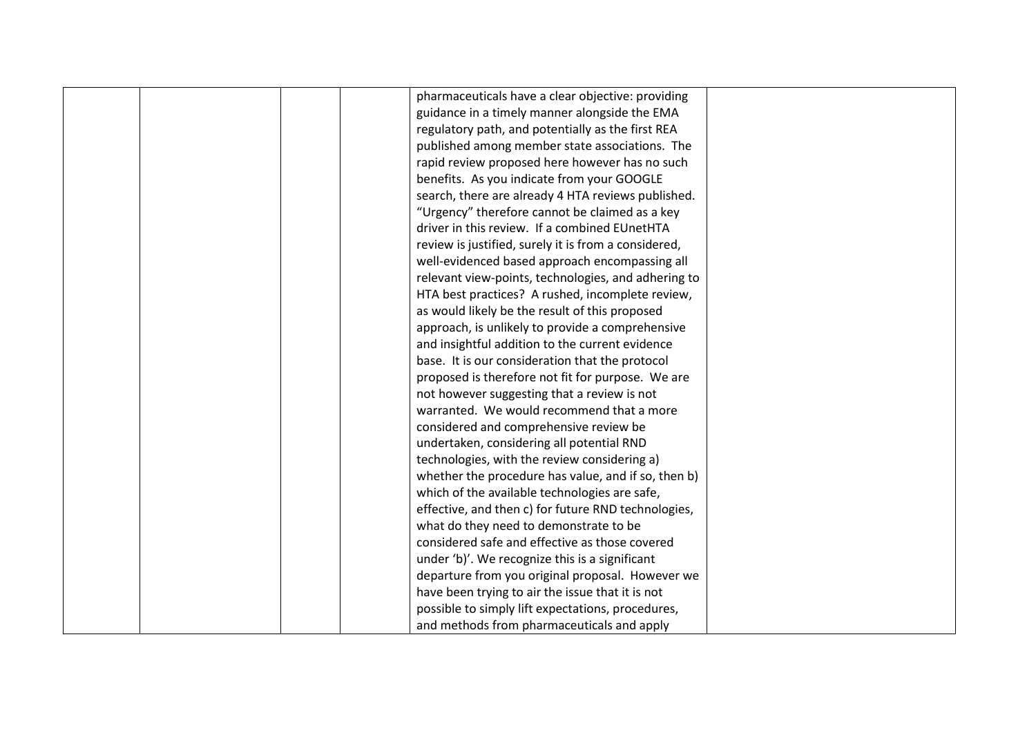|  | pharmaceuticals have a clear objective: providing    |  |
|--|------------------------------------------------------|--|
|  | guidance in a timely manner alongside the EMA        |  |
|  | regulatory path, and potentially as the first REA    |  |
|  | published among member state associations. The       |  |
|  | rapid review proposed here however has no such       |  |
|  | benefits. As you indicate from your GOOGLE           |  |
|  | search, there are already 4 HTA reviews published.   |  |
|  | "Urgency" therefore cannot be claimed as a key       |  |
|  | driver in this review. If a combined EUnetHTA        |  |
|  | review is justified, surely it is from a considered, |  |
|  | well-evidenced based approach encompassing all       |  |
|  | relevant view-points, technologies, and adhering to  |  |
|  | HTA best practices? A rushed, incomplete review,     |  |
|  | as would likely be the result of this proposed       |  |
|  | approach, is unlikely to provide a comprehensive     |  |
|  | and insightful addition to the current evidence      |  |
|  | base. It is our consideration that the protocol      |  |
|  | proposed is therefore not fit for purpose. We are    |  |
|  | not however suggesting that a review is not          |  |
|  | warranted. We would recommend that a more            |  |
|  | considered and comprehensive review be               |  |
|  | undertaken, considering all potential RND            |  |
|  | technologies, with the review considering a)         |  |
|  | whether the procedure has value, and if so, then b)  |  |
|  | which of the available technologies are safe,        |  |
|  | effective, and then c) for future RND technologies,  |  |
|  | what do they need to demonstrate to be               |  |
|  | considered safe and effective as those covered       |  |
|  | under 'b)'. We recognize this is a significant       |  |
|  | departure from you original proposal. However we     |  |
|  | have been trying to air the issue that it is not     |  |
|  | possible to simply lift expectations, procedures,    |  |
|  | and methods from pharmaceuticals and apply           |  |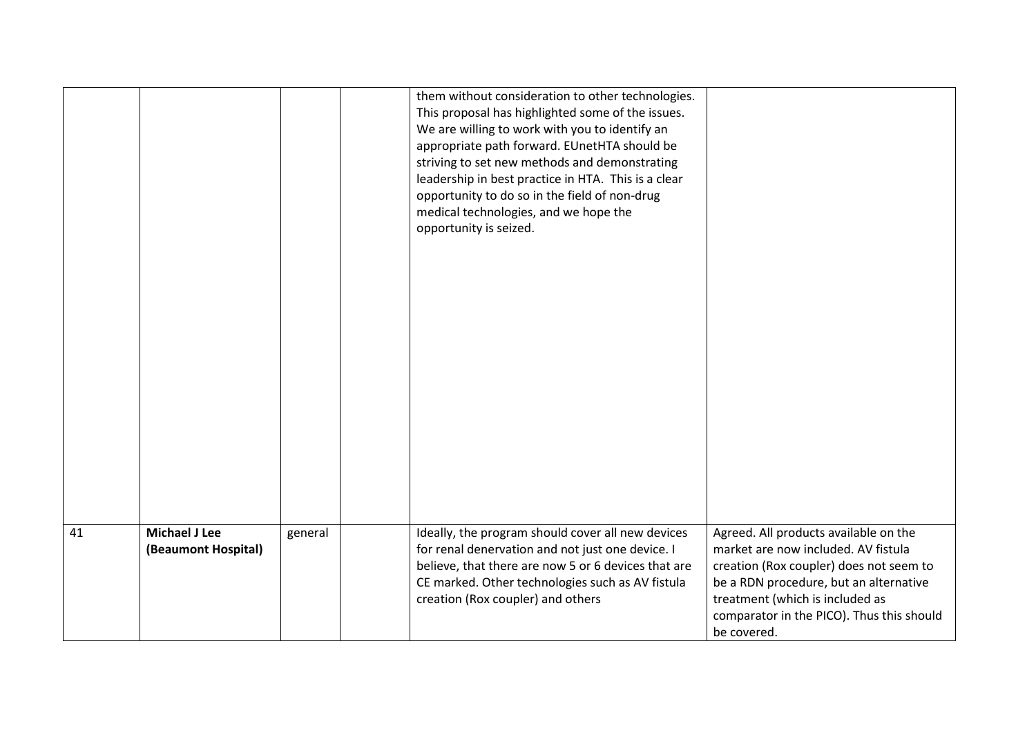|    |                                             |         | them without consideration to other technologies.<br>This proposal has highlighted some of the issues.<br>We are willing to work with you to identify an<br>appropriate path forward. EUnetHTA should be<br>striving to set new methods and demonstrating<br>leadership in best practice in HTA. This is a clear<br>opportunity to do so in the field of non-drug<br>medical technologies, and we hope the<br>opportunity is seized. |                                                                                                                                                                                                                                                                  |
|----|---------------------------------------------|---------|--------------------------------------------------------------------------------------------------------------------------------------------------------------------------------------------------------------------------------------------------------------------------------------------------------------------------------------------------------------------------------------------------------------------------------------|------------------------------------------------------------------------------------------------------------------------------------------------------------------------------------------------------------------------------------------------------------------|
| 41 | <b>Michael J Lee</b><br>(Beaumont Hospital) | general | Ideally, the program should cover all new devices<br>for renal denervation and not just one device. I<br>believe, that there are now 5 or 6 devices that are<br>CE marked. Other technologies such as AV fistula<br>creation (Rox coupler) and others                                                                                                                                                                                | Agreed. All products available on the<br>market are now included. AV fistula<br>creation (Rox coupler) does not seem to<br>be a RDN procedure, but an alternative<br>treatment (which is included as<br>comparator in the PICO). Thus this should<br>be covered. |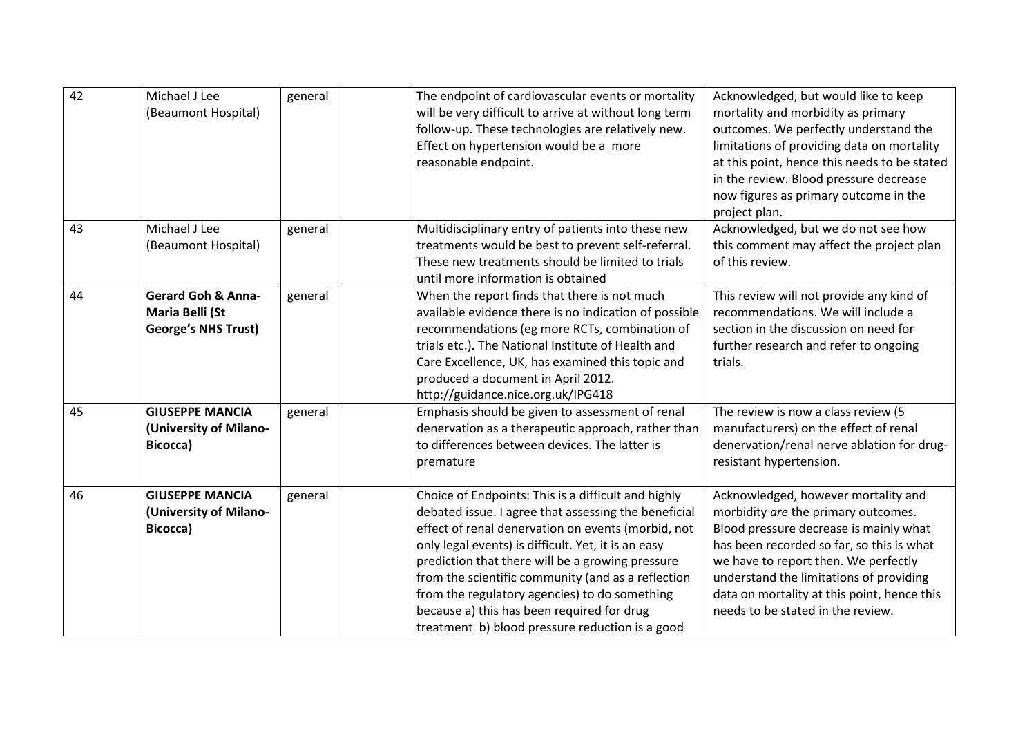| 42 | Michael J Lee<br>(Beaumont Hospital)                                           | general | The endpoint of cardiovascular events or mortality<br>will be very difficult to arrive at without long term<br>follow-up. These technologies are relatively new.<br>Effect on hypertension would be a more<br>reasonable endpoint.                                                                                                                                                                                                                                                   | Acknowledged, but would like to keep<br>mortality and morbidity as primary<br>outcomes. We perfectly understand the<br>limitations of providing data on mortality<br>at this point, hence this needs to be stated<br>in the review. Blood pressure decrease<br>now figures as primary outcome in the<br>project plan.                    |
|----|--------------------------------------------------------------------------------|---------|--------------------------------------------------------------------------------------------------------------------------------------------------------------------------------------------------------------------------------------------------------------------------------------------------------------------------------------------------------------------------------------------------------------------------------------------------------------------------------------|------------------------------------------------------------------------------------------------------------------------------------------------------------------------------------------------------------------------------------------------------------------------------------------------------------------------------------------|
| 43 | Michael J Lee<br>(Beaumont Hospital)                                           | general | Multidisciplinary entry of patients into these new<br>treatments would be best to prevent self-referral.<br>These new treatments should be limited to trials<br>until more information is obtained                                                                                                                                                                                                                                                                                   | Acknowledged, but we do not see how<br>this comment may affect the project plan<br>of this review.                                                                                                                                                                                                                                       |
| 44 | <b>Gerard Goh &amp; Anna-</b><br>Maria Belli (St<br><b>George's NHS Trust)</b> | general | When the report finds that there is not much<br>available evidence there is no indication of possible<br>recommendations (eg more RCTs, combination of<br>trials etc.). The National Institute of Health and<br>Care Excellence, UK, has examined this topic and<br>produced a document in April 2012.<br>http://guidance.nice.org.uk/IPG418                                                                                                                                         | This review will not provide any kind of<br>recommendations. We will include a<br>section in the discussion on need for<br>further research and refer to ongoing<br>trials.                                                                                                                                                              |
| 45 | <b>GIUSEPPE MANCIA</b><br>(University of Milano-<br>Bicocca)                   | general | Emphasis should be given to assessment of renal<br>denervation as a therapeutic approach, rather than<br>to differences between devices. The latter is<br>premature                                                                                                                                                                                                                                                                                                                  | The review is now a class review (5<br>manufacturers) on the effect of renal<br>denervation/renal nerve ablation for drug-<br>resistant hypertension.                                                                                                                                                                                    |
| 46 | <b>GIUSEPPE MANCIA</b><br>(University of Milano-<br>Bicocca)                   | general | Choice of Endpoints: This is a difficult and highly<br>debated issue. I agree that assessing the beneficial<br>effect of renal denervation on events (morbid, not<br>only legal events) is difficult. Yet, it is an easy<br>prediction that there will be a growing pressure<br>from the scientific community (and as a reflection<br>from the regulatory agencies) to do something<br>because a) this has been required for drug<br>treatment b) blood pressure reduction is a good | Acknowledged, however mortality and<br>morbidity are the primary outcomes.<br>Blood pressure decrease is mainly what<br>has been recorded so far, so this is what<br>we have to report then. We perfectly<br>understand the limitations of providing<br>data on mortality at this point, hence this<br>needs to be stated in the review. |